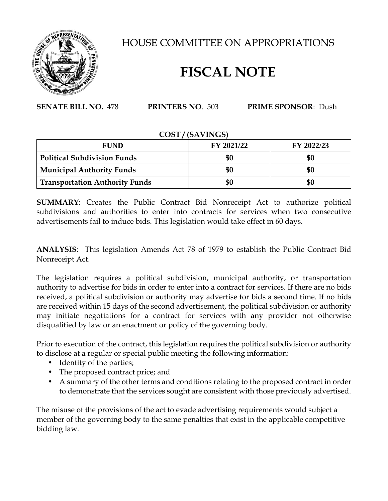

HOUSE COMMITTEE ON APPROPRIATIONS

## **FISCAL NOTE**

**SENATE BILL NO.** 478 **PRINTERS NO**. 503 **PRIME SPONSOR**: Dush

## **COST / (SAVINGS)**

| <b>FUND</b>                           | FY 2021/22 | FY 2022/23 |
|---------------------------------------|------------|------------|
| <b>Political Subdivision Funds</b>    | \$0        | \$0        |
| <b>Municipal Authority Funds</b>      | \$0        | \$0        |
| <b>Transportation Authority Funds</b> | \$0        | \$0        |

**SUMMARY**: Creates the Public Contract Bid Nonreceipt Act to authorize political subdivisions and authorities to enter into contracts for services when two consecutive advertisements fail to induce bids. This legislation would take effect in 60 days.

**ANALYSIS**: This legislation Amends Act 78 of 1979 to establish the Public Contract Bid Nonreceipt Act.

The legislation requires a political subdivision, municipal authority, or transportation authority to advertise for bids in order to enter into a contract for services. If there are no bids received, a political subdivision or authority may advertise for bids a second time. If no bids are received within 15 days of the second advertisement, the political subdivision or authority may initiate negotiations for a contract for services with any provider not otherwise disqualified by law or an enactment or policy of the governing body.

Prior to execution of the contract, this legislation requires the political subdivision or authority to disclose at a regular or special public meeting the following information:

- Identity of the parties;
- The proposed contract price; and
- A summary of the other terms and conditions relating to the proposed contract in order to demonstrate that the services sought are consistent with those previously advertised.

The misuse of the provisions of the act to evade advertising requirements would subject a member of the governing body to the same penalties that exist in the applicable competitive bidding law.